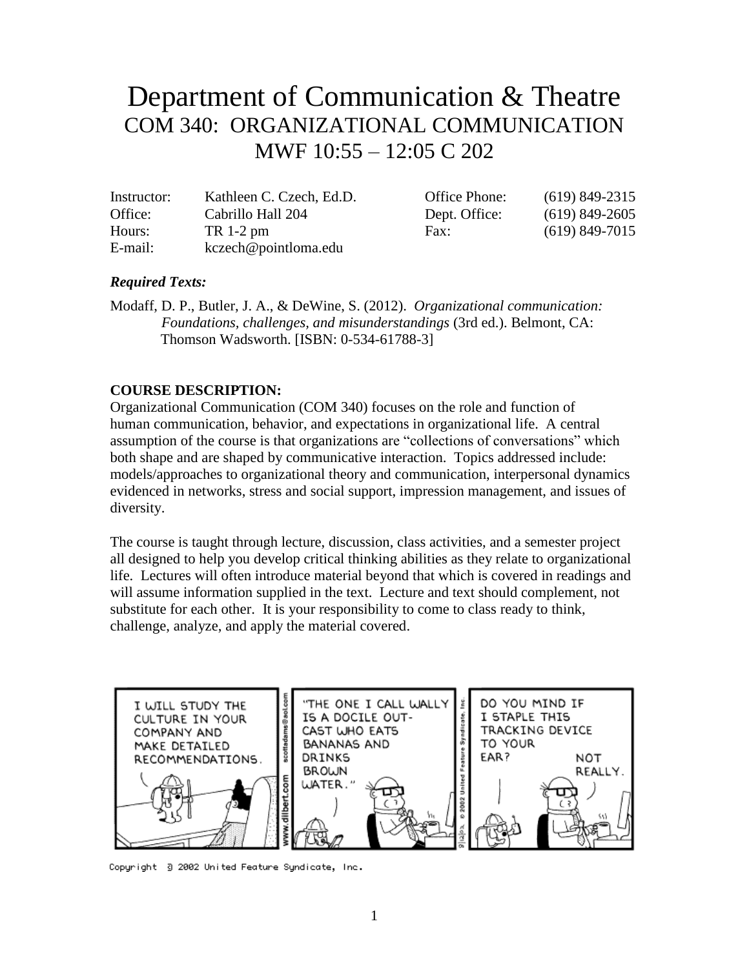# Department of Communication & Theatre COM 340: ORGANIZATIONAL COMMUNICATION MWF 10:55 – 12:05 C 202

| Instructor: | Kathleen C. Czech, Ed.D. | Office Phone: | $(619)$ 849-2315 |
|-------------|--------------------------|---------------|------------------|
| Office:     | Cabrillo Hall 204        | Dept. Office: | $(619)$ 849-2605 |
| Hours:      | $TR 1-2 pm$              | Fax:          | $(619)$ 849-7015 |
| E-mail:     | kczech@pointloma.edu     |               |                  |

#### *Required Texts:*

Modaff, D. P., Butler, J. A., & DeWine, S. (2012). *Organizational communication: Foundations, challenges, and misunderstandings* (3rd ed.). Belmont, CA: Thomson Wadsworth. [ISBN: 0-534-61788-3]

#### **COURSE DESCRIPTION:**

Organizational Communication (COM 340) focuses on the role and function of human communication, behavior, and expectations in organizational life. A central assumption of the course is that organizations are "collections of conversations" which both shape and are shaped by communicative interaction. Topics addressed include: models/approaches to organizational theory and communication, interpersonal dynamics evidenced in networks, stress and social support, impression management, and issues of diversity.

The course is taught through lecture, discussion, class activities, and a semester project all designed to help you develop critical thinking abilities as they relate to organizational life. Lectures will often introduce material beyond that which is covered in readings and will assume information supplied in the text. Lecture and text should complement, not substitute for each other. It is your responsibility to come to class ready to think, challenge, analyze, and apply the material covered.



Copyright -3 2002 United Feature Syndicate, Inc.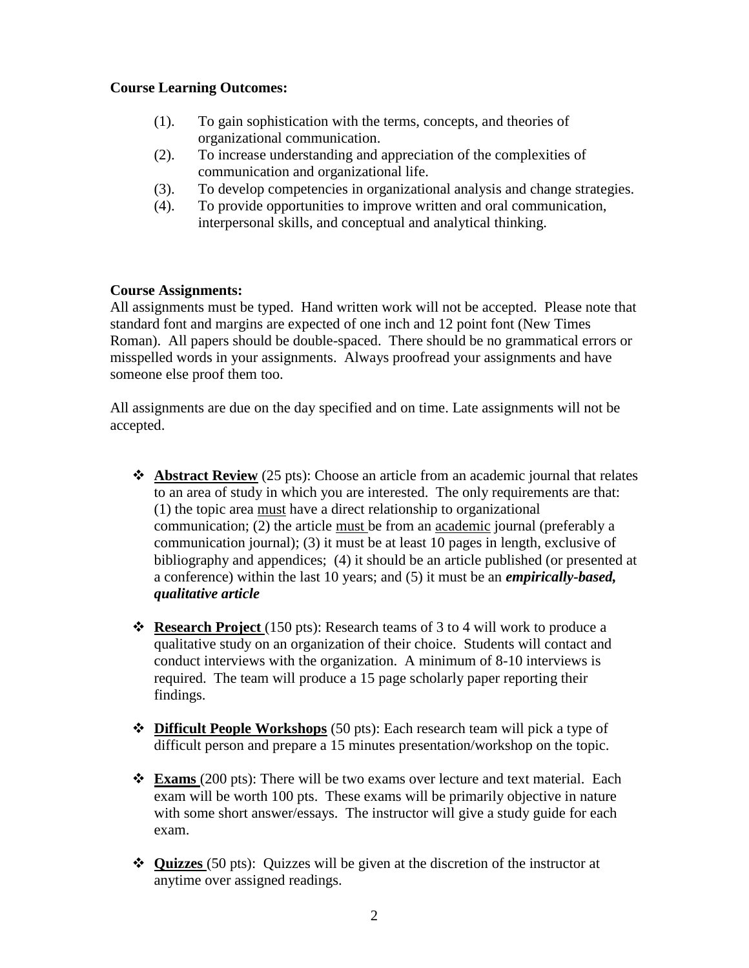#### **Course Learning Outcomes:**

- (1). To gain sophistication with the terms, concepts, and theories of organizational communication.
- (2). To increase understanding and appreciation of the complexities of communication and organizational life.
- (3). To develop competencies in organizational analysis and change strategies.
- (4). To provide opportunities to improve written and oral communication, interpersonal skills, and conceptual and analytical thinking.

#### **Course Assignments:**

All assignments must be typed. Hand written work will not be accepted. Please note that standard font and margins are expected of one inch and 12 point font (New Times Roman). All papers should be double-spaced. There should be no grammatical errors or misspelled words in your assignments. Always proofread your assignments and have someone else proof them too.

All assignments are due on the day specified and on time. Late assignments will not be accepted.

- **Abstract Review** (25 pts): Choose an article from an academic journal that relates to an area of study in which you are interested. The only requirements are that: (1) the topic area must have a direct relationship to organizational communication; (2) the article must be from an academic journal (preferably a communication journal); (3) it must be at least 10 pages in length, exclusive of bibliography and appendices; (4) it should be an article published (or presented at a conference) within the last 10 years; and (5) it must be an *empirically-based, qualitative article*
- **Research Project** (150 pts): Research teams of 3 to 4 will work to produce a qualitative study on an organization of their choice. Students will contact and conduct interviews with the organization. A minimum of 8-10 interviews is required. The team will produce a 15 page scholarly paper reporting their findings.
- **Difficult People Workshops** (50 pts): Each research team will pick a type of difficult person and prepare a 15 minutes presentation/workshop on the topic.
- **Exams** (200 pts): There will be two exams over lecture and text material. Each exam will be worth 100 pts. These exams will be primarily objective in nature with some short answer/essays. The instructor will give a study guide for each exam.
- **Quizzes** (50 pts): Quizzes will be given at the discretion of the instructor at anytime over assigned readings.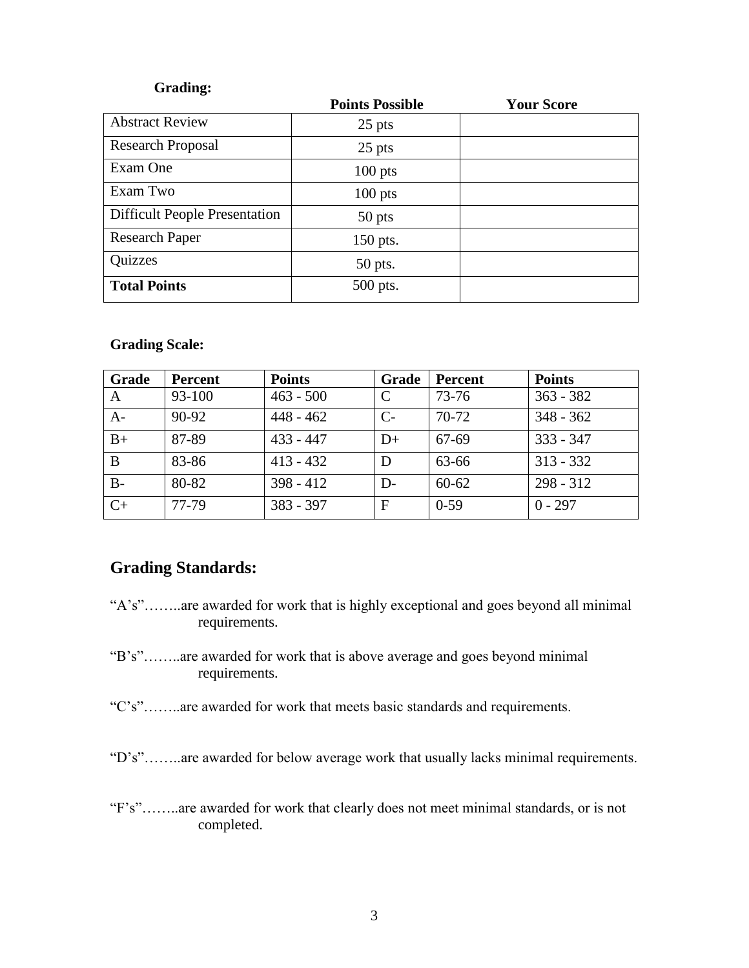#### **Grading:**

|                                      | <b>Points Possible</b> | <b>Your Score</b> |
|--------------------------------------|------------------------|-------------------|
| <b>Abstract Review</b>               | $25$ pts               |                   |
| <b>Research Proposal</b>             | 25 pts                 |                   |
| Exam One                             | $100$ pts              |                   |
| Exam Two                             | $100$ pts              |                   |
| <b>Difficult People Presentation</b> | 50 pts                 |                   |
| <b>Research Paper</b>                | 150 pts.               |                   |
| Quizzes                              | 50 pts.                |                   |
| <b>Total Points</b>                  | 500 pts.               |                   |

#### **Grading Scale:**

| Grade | Percent | <b>Points</b> | Grade | Percent   | <b>Points</b> |
|-------|---------|---------------|-------|-----------|---------------|
| A     | 93-100  | $463 - 500$   | C     | 73-76     | $363 - 382$   |
| $A-$  | $90-92$ | $448 - 462$   | $C-$  | $70-72$   | $348 - 362$   |
| $B+$  | 87-89   | $433 - 447$   | $D+$  | 67-69     | $333 - 347$   |
| B     | 83-86   | $413 - 432$   | D     | 63-66     | $313 - 332$   |
| $B -$ | 80-82   | $398 - 412$   | D-    | $60 - 62$ | $298 - 312$   |
| $C+$  | 77-79   | $383 - 397$   | F     | $0-59$    | $0 - 297$     |

### **Grading Standards:**

- "A's"……..are awarded for work that is highly exceptional and goes beyond all minimal requirements.
- "B's"……..are awarded for work that is above average and goes beyond minimal requirements.
- "C's"……..are awarded for work that meets basic standards and requirements.

"D's"……..are awarded for below average work that usually lacks minimal requirements.

"F's"……..are awarded for work that clearly does not meet minimal standards, or is not completed.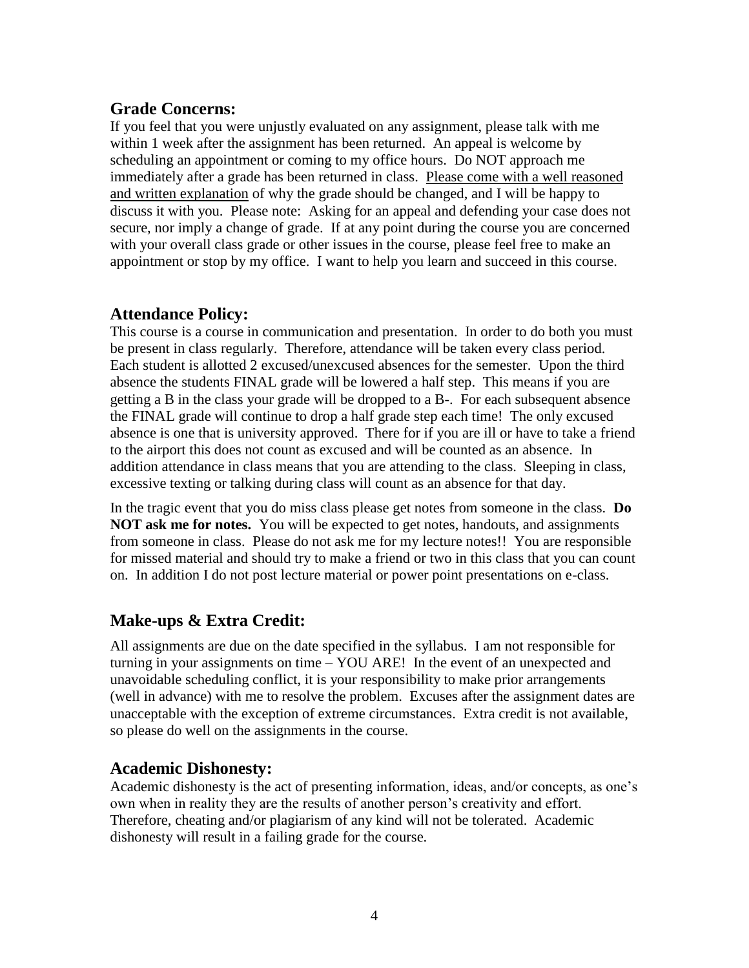### **Grade Concerns:**

If you feel that you were unjustly evaluated on any assignment, please talk with me within 1 week after the assignment has been returned. An appeal is welcome by scheduling an appointment or coming to my office hours. Do NOT approach me immediately after a grade has been returned in class. Please come with a well reasoned and written explanation of why the grade should be changed, and I will be happy to discuss it with you. Please note: Asking for an appeal and defending your case does not secure, nor imply a change of grade. If at any point during the course you are concerned with your overall class grade or other issues in the course, please feel free to make an appointment or stop by my office. I want to help you learn and succeed in this course.

### **Attendance Policy:**

This course is a course in communication and presentation. In order to do both you must be present in class regularly. Therefore, attendance will be taken every class period. Each student is allotted 2 excused/unexcused absences for the semester. Upon the third absence the students FINAL grade will be lowered a half step. This means if you are getting a B in the class your grade will be dropped to a B-. For each subsequent absence the FINAL grade will continue to drop a half grade step each time! The only excused absence is one that is university approved. There for if you are ill or have to take a friend to the airport this does not count as excused and will be counted as an absence. In addition attendance in class means that you are attending to the class. Sleeping in class, excessive texting or talking during class will count as an absence for that day.

In the tragic event that you do miss class please get notes from someone in the class. **Do NOT ask me for notes.** You will be expected to get notes, handouts, and assignments from someone in class. Please do not ask me for my lecture notes!! You are responsible for missed material and should try to make a friend or two in this class that you can count on. In addition I do not post lecture material or power point presentations on e-class.

### **Make-ups & Extra Credit:**

All assignments are due on the date specified in the syllabus. I am not responsible for turning in your assignments on time – YOU ARE! In the event of an unexpected and unavoidable scheduling conflict, it is your responsibility to make prior arrangements (well in advance) with me to resolve the problem. Excuses after the assignment dates are unacceptable with the exception of extreme circumstances. Extra credit is not available, so please do well on the assignments in the course.

### **Academic Dishonesty:**

Academic dishonesty is the act of presenting information, ideas, and/or concepts, as one's own when in reality they are the results of another person's creativity and effort. Therefore, cheating and/or plagiarism of any kind will not be tolerated. Academic dishonesty will result in a failing grade for the course.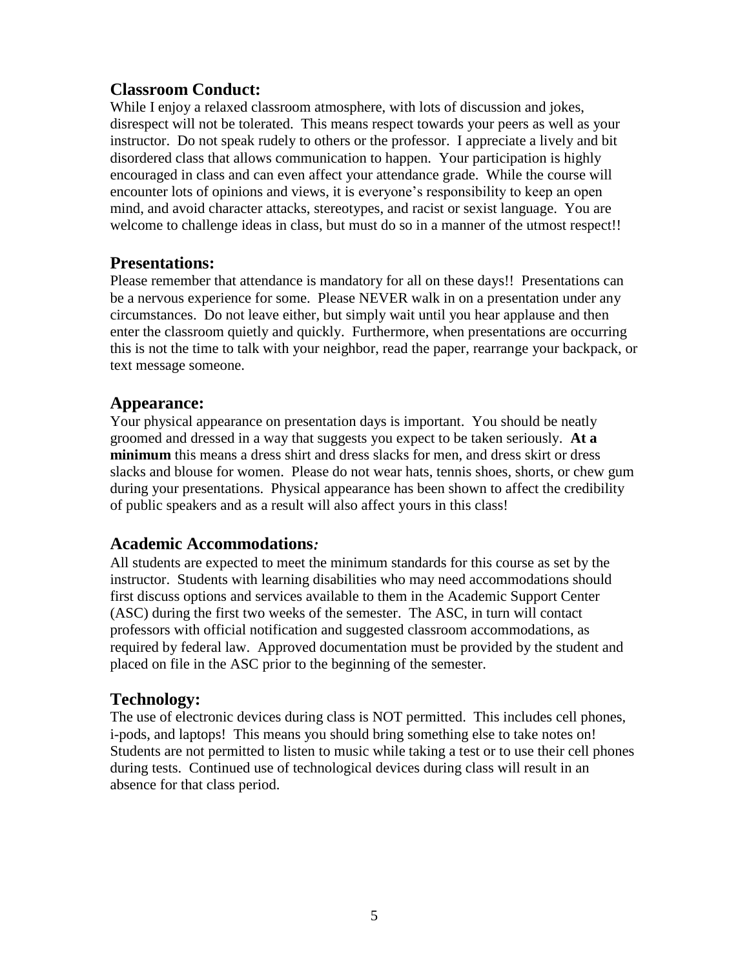### **Classroom Conduct:**

While I enjoy a relaxed classroom atmosphere, with lots of discussion and jokes, disrespect will not be tolerated. This means respect towards your peers as well as your instructor. Do not speak rudely to others or the professor. I appreciate a lively and bit disordered class that allows communication to happen. Your participation is highly encouraged in class and can even affect your attendance grade. While the course will encounter lots of opinions and views, it is everyone's responsibility to keep an open mind, and avoid character attacks, stereotypes, and racist or sexist language. You are welcome to challenge ideas in class, but must do so in a manner of the utmost respect!!

### **Presentations:**

Please remember that attendance is mandatory for all on these days!! Presentations can be a nervous experience for some. Please NEVER walk in on a presentation under any circumstances. Do not leave either, but simply wait until you hear applause and then enter the classroom quietly and quickly. Furthermore, when presentations are occurring this is not the time to talk with your neighbor, read the paper, rearrange your backpack, or text message someone.

### **Appearance:**

Your physical appearance on presentation days is important. You should be neatly groomed and dressed in a way that suggests you expect to be taken seriously. **At a minimum** this means a dress shirt and dress slacks for men, and dress skirt or dress slacks and blouse for women. Please do not wear hats, tennis shoes, shorts, or chew gum during your presentations. Physical appearance has been shown to affect the credibility of public speakers and as a result will also affect yours in this class!

### **Academic Accommodations***:*

All students are expected to meet the minimum standards for this course as set by the instructor. Students with learning disabilities who may need accommodations should first discuss options and services available to them in the Academic Support Center (ASC) during the first two weeks of the semester. The ASC, in turn will contact professors with official notification and suggested classroom accommodations, as required by federal law. Approved documentation must be provided by the student and placed on file in the ASC prior to the beginning of the semester.

### **Technology:**

The use of electronic devices during class is NOT permitted. This includes cell phones, i-pods, and laptops! This means you should bring something else to take notes on! Students are not permitted to listen to music while taking a test or to use their cell phones during tests. Continued use of technological devices during class will result in an absence for that class period.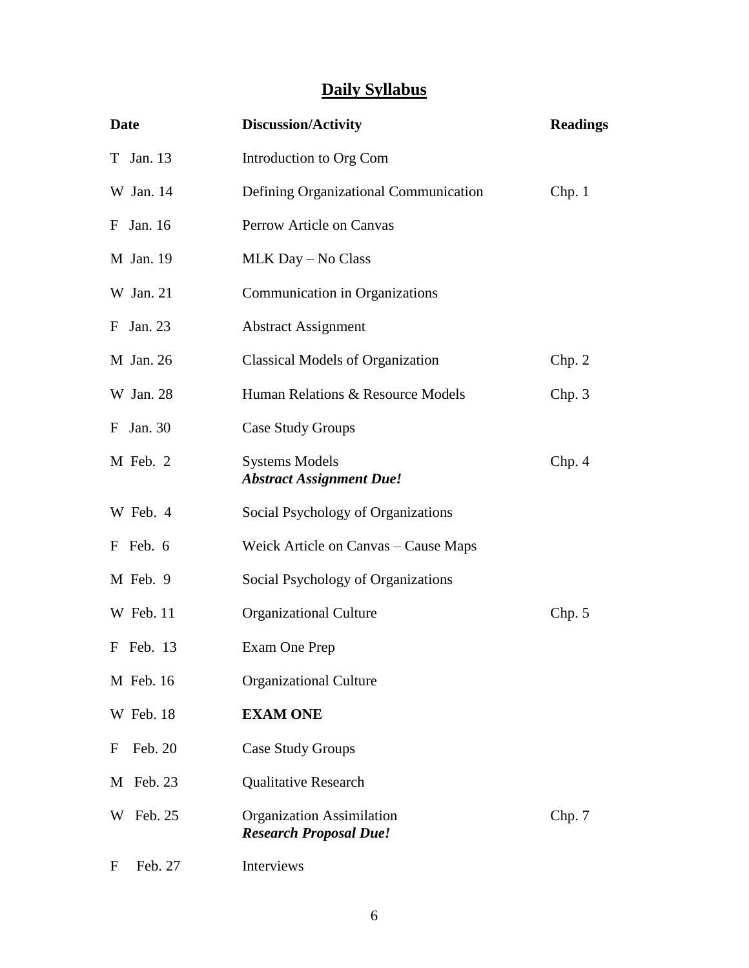# **Daily Syllabus**

| <b>Date</b>  | <b>Discussion/Activity</b>                                        | <b>Readings</b> |
|--------------|-------------------------------------------------------------------|-----------------|
| T Jan. 13    | Introduction to Org Com                                           |                 |
| W Jan. 14    | Defining Organizational Communication                             | Chp.1           |
| F Jan. 16    | Perrow Article on Canvas                                          |                 |
| M Jan. 19    | MLK Day - No Class                                                |                 |
| W Jan. 21    | Communication in Organizations                                    |                 |
| F Jan. 23    | <b>Abstract Assignment</b>                                        |                 |
| M Jan. 26    | <b>Classical Models of Organization</b>                           | Chp. 2          |
| W Jan. 28    | Human Relations & Resource Models                                 | Chp.3           |
| F Jan. 30    | <b>Case Study Groups</b>                                          |                 |
| M Feb. 2     | <b>Systems Models</b><br><b>Abstract Assignment Due!</b>          | Chp.4           |
| W Feb. 4     | Social Psychology of Organizations                                |                 |
| F Feb. 6     | Weick Article on Canvas – Cause Maps                              |                 |
| M Feb. 9     | Social Psychology of Organizations                                |                 |
| W Feb. 11    | <b>Organizational Culture</b>                                     | Chp. 5          |
| F Feb. 13    | Exam One Prep                                                     |                 |
| M Feb. 16    | <b>Organizational Culture</b>                                     |                 |
| W Feb. 18    | <b>EXAM ONE</b>                                                   |                 |
| Feb. 20<br>F | <b>Case Study Groups</b>                                          |                 |
| M Feb. 23    | <b>Qualitative Research</b>                                       |                 |
| Feb. 25<br>W | <b>Organization Assimilation</b><br><b>Research Proposal Due!</b> | Chp. 7          |
| Feb. 27<br>F | Interviews                                                        |                 |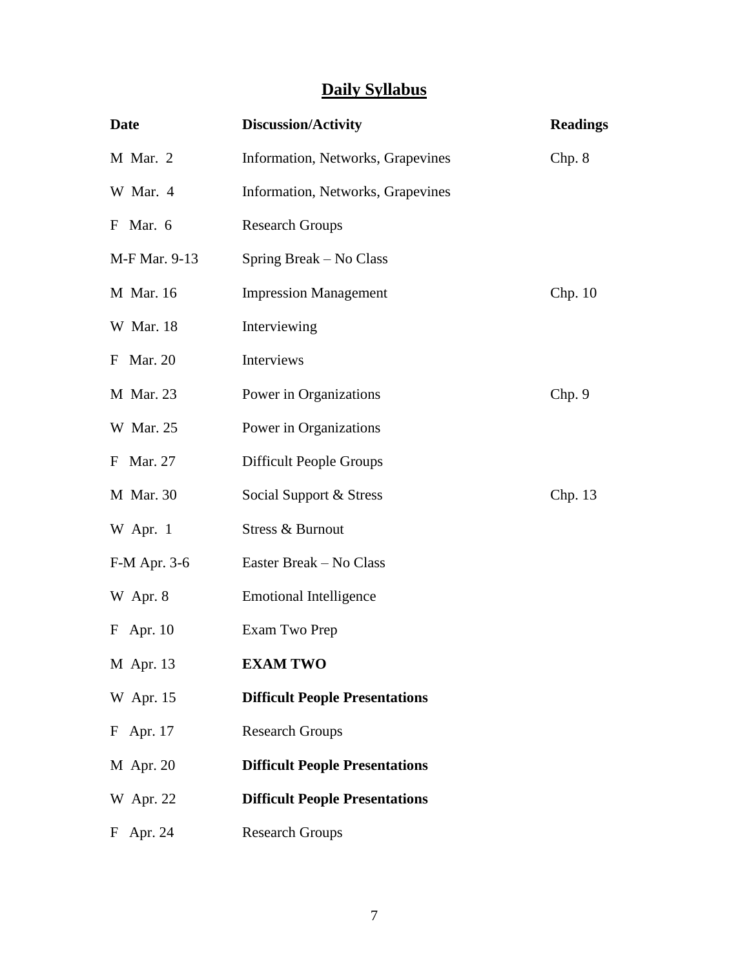# **Daily Syllabus**

| Date          | <b>Discussion/Activity</b>            | <b>Readings</b> |
|---------------|---------------------------------------|-----------------|
| M Mar. 2      | Information, Networks, Grapevines     | Chp. 8          |
| W Mar. 4      | Information, Networks, Grapevines     |                 |
| F Mar. 6      | <b>Research Groups</b>                |                 |
| M-F Mar. 9-13 | Spring Break – No Class               |                 |
| M Mar. 16     | <b>Impression Management</b>          | Chp. 10         |
| W Mar. 18     | Interviewing                          |                 |
| F Mar. 20     | Interviews                            |                 |
| M Mar. 23     | Power in Organizations                | Chp. 9          |
| W Mar. 25     | Power in Organizations                |                 |
| F Mar. 27     | <b>Difficult People Groups</b>        |                 |
| M Mar. 30     | Social Support & Stress               | Chp. 13         |
| W Apr. 1      | Stress & Burnout                      |                 |
| F-M Apr. 3-6  | Easter Break - No Class               |                 |
| W Apr. 8      | <b>Emotional Intelligence</b>         |                 |
| F Apr. 10     | Exam Two Prep                         |                 |
| M Apr. 13     | <b>EXAM TWO</b>                       |                 |
| W Apr. 15     | <b>Difficult People Presentations</b> |                 |
| F Apr. 17     | <b>Research Groups</b>                |                 |
| M Apr. 20     | <b>Difficult People Presentations</b> |                 |
| W Apr. 22     | <b>Difficult People Presentations</b> |                 |
| Apr. 24<br>F  | <b>Research Groups</b>                |                 |